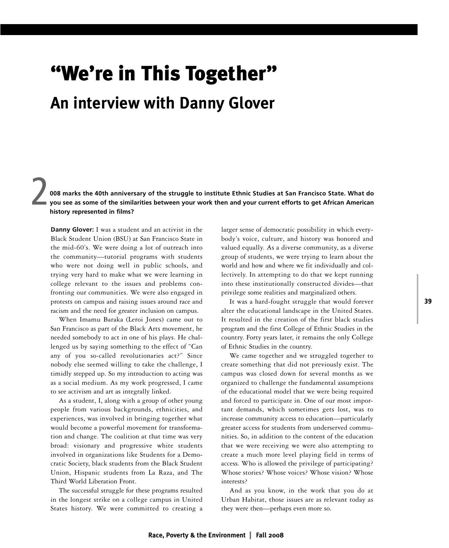# **"We're in This Together" An interview with Danny Glover**

2 008 marks the 40th anniversary of the struggle to institute Ethnic Studies at San Francisco State. What do you see as some of the similarities between your work then and your current efforts to get African American **history represented in films?**

**Danny Glover:** I was a student and an activist in the Black Student Union (BSU) at San Francisco State in the mid-60's. We were doing a lot of outreach into the community—tutorial programs with students who were not doing well in public schools, and trying very hard to make what we were learning in college relevant to the issues and problems confronting our communities. We were also engaged in protests on campus and raising issues around race and racism and the need for greater inclusion on campus.

When Imamu Baraka (Leroi Jones) came out to San Francisco as part of the Black Arts movement, he needed somebody to act in one of his plays. He challenged us by saying something to the effect of "Can any of you so-called revolutionaries act?" Since nobody else seemed willing to take the challenge, I timidly stepped up. So my introduction to acting was as a social medium. As my work progressed, I came to see activism and art as integrally linked.

As a student, I, along with a group of other young people from various backgrounds, ethnicities, and experiences, was involved in bringing together what would become a powerful movement for transformation and change. The coalition at that time was very broad: visionary and progressive white students involved in organizations like Students for a Democratic Society, black students from the Black Student Union, Hispanic students from La Raza, and The Third World Liberation Front.

The successful struggle for these programs resulted in the longest strike on a college campus in United States history. We were committed to creating a

larger sense of democratic possibility in which everybody's voice, culture, and history was honored and valued equally. As a diverse community, as a diverse group of students, we were trying to learn about the world and how and where we fit individually and collectively. In attempting to do that we kept running into these institutionally constructed divides—that privilege some realities and marginalized others.

It was a hard-fought struggle that would forever alter the educational landscape in the United States. It resulted in the creation of the first black studies program and the first College of Ethnic Studies in the country. Forty years later, it remains the only College of Ethnic Studies in the country.

We came together and we struggled together to create something that did not previously exist. The campus was closed down for several months as we organized to challenge the fundamental assumptions of the educational model that we were being required and forced to participate in. One of our most important demands, which sometimes gets lost, was to increase community access to education—particularly greater access for students from underserved communities. So, in addition to the content of the education that we were receiving we were also attempting to create a much more level playing field in terms of access. Who is allowed the privilege of participating? Whose stories? Whose voices? Whose vision? Whose interests?

And as you know, in the work that you do at Urban Habitat, those issues are as relevant today as they were then—perhaps even more so.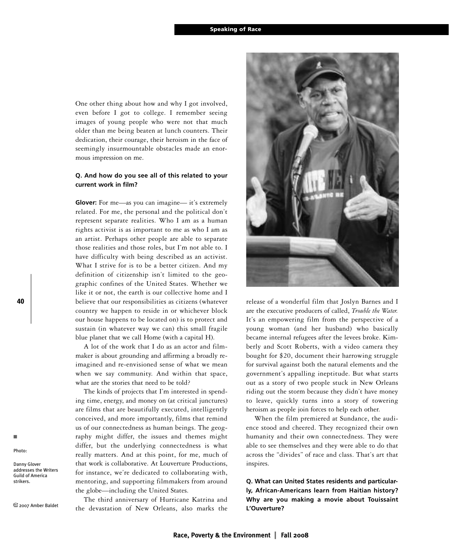One other thing about how and why I got involved, even before I got to college. I remember seeing images of young people who were not that much older than me being beaten at lunch counters. Their dedication, their courage, their heroism in the face of seemingly insurmountable obstacles made an enormous impression on me.

### **Q. And how do you see all of this related to your current work in film?**

**Glover:** For me—as you can imagine— it's extremely related. For me, the personal and the political don't represent separate realities. Who I am as a human rights activist is as important to me as who I am as an artist. Perhaps other people are able to separate those realities and those roles, but I'm not able to. I have difficulty with being described as an activist. What I strive for is to be a better citizen. And my definition of citizenship isn't limited to the geographic confines of the United States. Whether we like it or not, the earth is our collective home and I believe that our responsibilities as citizens (whatever country we happen to reside in or whichever block our house happens to be located on) is to protect and sustain (in whatever way we can) this small fragile blue planet that we call Home (with a capital H).

A lot of the work that I do as an actor and filmmaker is about grounding and affirming a broadly reimagined and re-envisioned sense of what we mean when we say community. And within that space, what are the stories that need to be told?

The kinds of projects that I'm interested in spending time, energy, and money on (at critical junctures) are films that are beautifully executed, intelligently conceived, and more importantly, films that remind us of our connectedness as human beings. The geography might differ, the issues and themes might differ, but the underlying connectedness is what really matters. And at this point, for me, much of that work is collaborative. At Louverture Productions, for instance, we're dedicated to collaborating with, mentoring, and supporting filmmakers from around the globe—including the United States.

The third anniversary of Hurricane Katrina and the devastation of New Orleans, also marks the



release of a wonderful film that Joslyn Barnes and I are the executive producers of called, *Trouble the Water.* It's an empowering film from the perspective of a young woman (and her husband) who basically became internal refugees after the levees broke. Kimberly and Scott Roberts, with a video camera they bought for \$20, document their harrowing struggle for survival against both the natural elements and the government's appalling ineptitude. But what starts out as a story of two people stuck in New Orleans riding out the storm because they didn't have money to leave, quickly turns into a story of towering heroism as people join forces to help each other.

When the film premiered at Sundance, the audience stood and cheered. They recognized their own humanity and their own connectedness. They were able to see themselves and they were able to do that across the "divides" of race and class. That's art that inspires.

**Q. What can United States residents and particularly, African-Americans learn from Haitian history? Why are you making a movie about Touissaint L'Ouverture?**

**40**

■ Photo:

Danny Glover addresses the Writers Guild of America strikers.

2007 Amber Baldet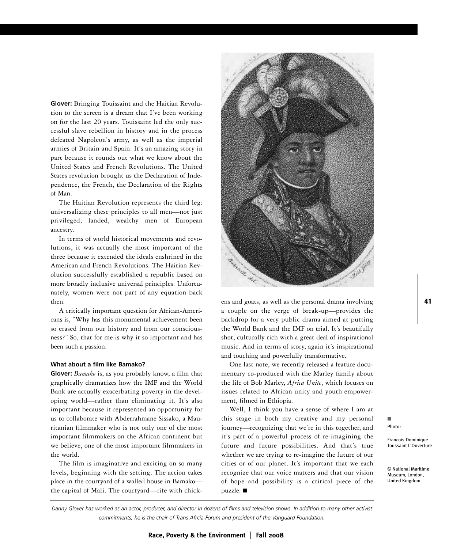**Glover:** Bringing Touissaint and the Haitian Revolution to the screen is a dream that I've been working on for the last 20 years. Touissaint led the only successful slave rebellion in history and in the process defeated Napoleon's army, as well as the imperial armies of Britain and Spain. It's an amazing story in part because it rounds out what we know about the United States and French Revolutions. The United States revolution brought us the Declaration of Independence, the French, the Declaration of the Rights of Man.

The Haitian Revolution represents the third leg: universalizing these principles to all men—not just privileged, landed, wealthy men of European ancestry.

In terms of world historical movements and revolutions, it was actually the most important of the three because it extended the ideals enshrined in the American and French Revolutions. The Haitian Revolution successfully established a republic based on more broadly inclusive universal principles. Unfortunately, women were not part of any equation back then.

A critically important question for African-Americans is, "Why has this monumental achievement been so erased from our history and from our consciousness?" So, that for me is why it so important and has been such a passion.

### **What about a film like Bamako?**

**Glover:** *Bamako* is, as you probably know, a film that graphically dramatizes how the IMF and the World Bank are actually exacerbating poverty in the developing world—rather than eliminating it. It's also important because it represented an opportunity for us to collaborate with Abderrahmane Sissako, a Mauritanian filmmaker who is not only one of the most important filmmakers on the African continent but we believe, one of the most important filmmakers in the world.

The film is imaginative and exciting on so many levels, beginning with the setting. The action takes place in the courtyard of a walled house in Bamako the capital of Mali. The courtyard—rife with chick-



ens and goats, as well as the personal drama involving a couple on the verge of break-up—provides the backdrop for a very public drama aimed at putting the World Bank and the IMF on trial. It's beautifully shot, culturally rich with a great deal of inspirational music. And in terms of story, again it's inspirational and touching and powerfully transformative.

One last note, we recently released a feature documentary co-produced with the Marley family about the life of Bob Marley, *Africa Unite*, which focuses on issues related to African unity and youth empowerment, filmed in Ethiopia.

Well, I think you have a sense of where I am at this stage in both my creative and my personal journey—recognizing that we're in this together, and it's part of a powerful process of re-imagining the future and future possibilities. And that's true whether we are trying to re-imagine the future of our cities or of our planet. It's important that we each recognize that our voice matters and that our vision of hope and possibility is a critical piece of the puzzle. ■

■

Photo:

Francois-Dominique Toussaint L'Ouverture

© National Maritime Museum, London, United Kingdom

Danny Glover has worked as an actor, producer, and director in dozens of films and television shows. In addition to many other activist *commitments, he is the chair of Trans Afrcia Forum and president of the Vanguard Foundation.*

**41**